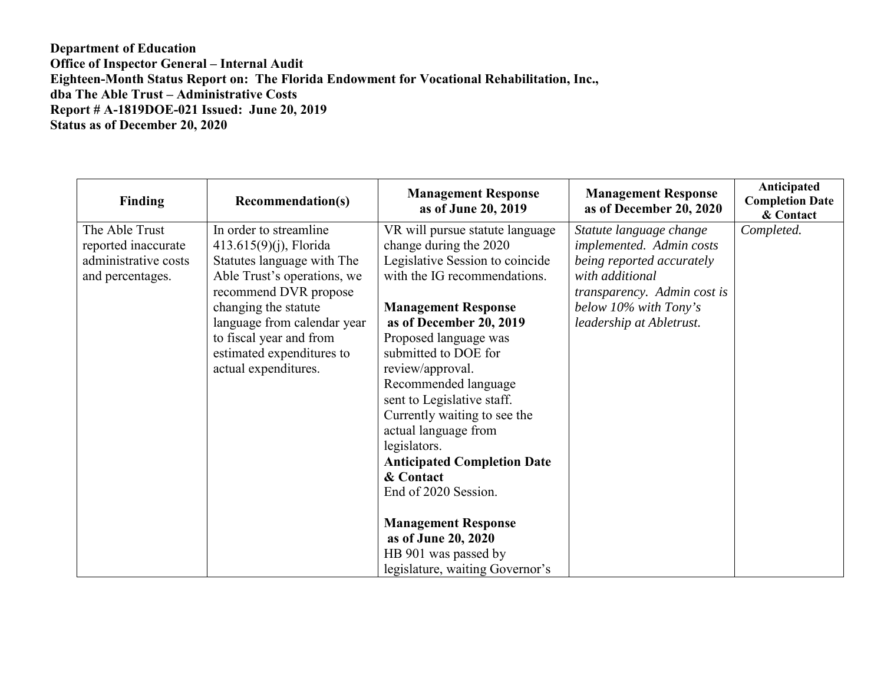**Department of Education Office of Inspector General – Internal Audit Eighteen-Month Status Report on: The Florida Endowment for Vocational Rehabilitation, Inc., dba The Able Trust – Administrative Costs Report # A-1819DOE-021 Issued: June 20, 2019 Status as of December 20, 2020** 

| <b>Finding</b>       | <b>Recommendation(s)</b>    | <b>Management Response</b><br>as of June 20, 2019 | <b>Management Response</b><br>as of December 20, 2020 | Anticipated<br><b>Completion Date</b><br>& Contact |
|----------------------|-----------------------------|---------------------------------------------------|-------------------------------------------------------|----------------------------------------------------|
| The Able Trust       | In order to streamline      | VR will pursue statute language                   | Statute language change                               | Completed.                                         |
| reported inaccurate  | $413.615(9)(i)$ , Florida   | change during the 2020                            | implemented. Admin costs                              |                                                    |
| administrative costs | Statutes language with The  | Legislative Session to coincide                   | being reported accurately                             |                                                    |
| and percentages.     | Able Trust's operations, we | with the IG recommendations.                      | with additional                                       |                                                    |
|                      | recommend DVR propose       |                                                   | transparency. Admin cost is                           |                                                    |
|                      | changing the statute        | <b>Management Response</b>                        | below 10% with Tony's                                 |                                                    |
|                      | language from calendar year | as of December 20, 2019                           | leadership at Abletrust.                              |                                                    |
|                      | to fiscal year and from     | Proposed language was                             |                                                       |                                                    |
|                      | estimated expenditures to   | submitted to DOE for                              |                                                       |                                                    |
|                      | actual expenditures.        | review/approval.                                  |                                                       |                                                    |
|                      |                             | Recommended language                              |                                                       |                                                    |
|                      |                             | sent to Legislative staff.                        |                                                       |                                                    |
|                      |                             | Currently waiting to see the                      |                                                       |                                                    |
|                      |                             | actual language from                              |                                                       |                                                    |
|                      |                             | legislators.                                      |                                                       |                                                    |
|                      |                             | <b>Anticipated Completion Date</b>                |                                                       |                                                    |
|                      |                             | & Contact                                         |                                                       |                                                    |
|                      |                             | End of 2020 Session.                              |                                                       |                                                    |
|                      |                             |                                                   |                                                       |                                                    |
|                      |                             | <b>Management Response</b>                        |                                                       |                                                    |
|                      |                             | as of June 20, 2020                               |                                                       |                                                    |
|                      |                             | HB 901 was passed by                              |                                                       |                                                    |
|                      |                             | legislature, waiting Governor's                   |                                                       |                                                    |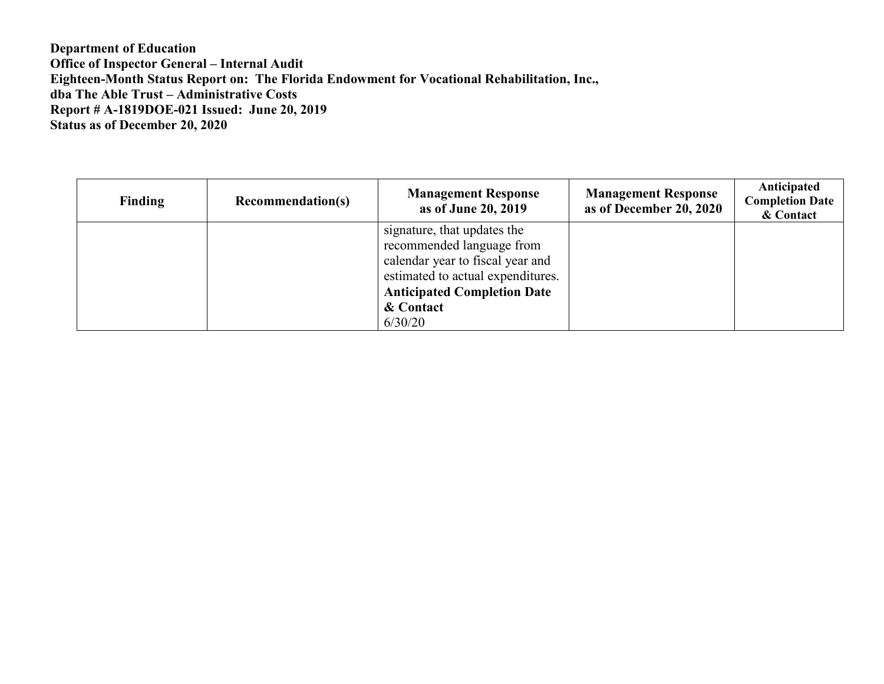**Department of Education Office of Inspector General – Internal Audit Eighteen-Month Status Report on: The Florida Endowment for Vocational Rehabilitation, Inc., dba The Able Trust – Administrative Costs Report # A-1819DOE-021 Issued: June 20, 2019 Status as of December 20, 2020** 

| <b>Finding</b> | <b>Recommendation(s)</b> | <b>Management Response</b><br>as of June 20, 2019                     | <b>Management Response</b><br>as of December 20, 2020 | Anticipated<br><b>Completion Date</b><br>& Contact |
|----------------|--------------------------|-----------------------------------------------------------------------|-------------------------------------------------------|----------------------------------------------------|
|                |                          | signature, that updates the<br>recommended language from              |                                                       |                                                    |
|                |                          | calendar year to fiscal year and<br>estimated to actual expenditures. |                                                       |                                                    |
|                |                          | <b>Anticipated Completion Date</b>                                    |                                                       |                                                    |
|                |                          | & Contact<br>6/30/20                                                  |                                                       |                                                    |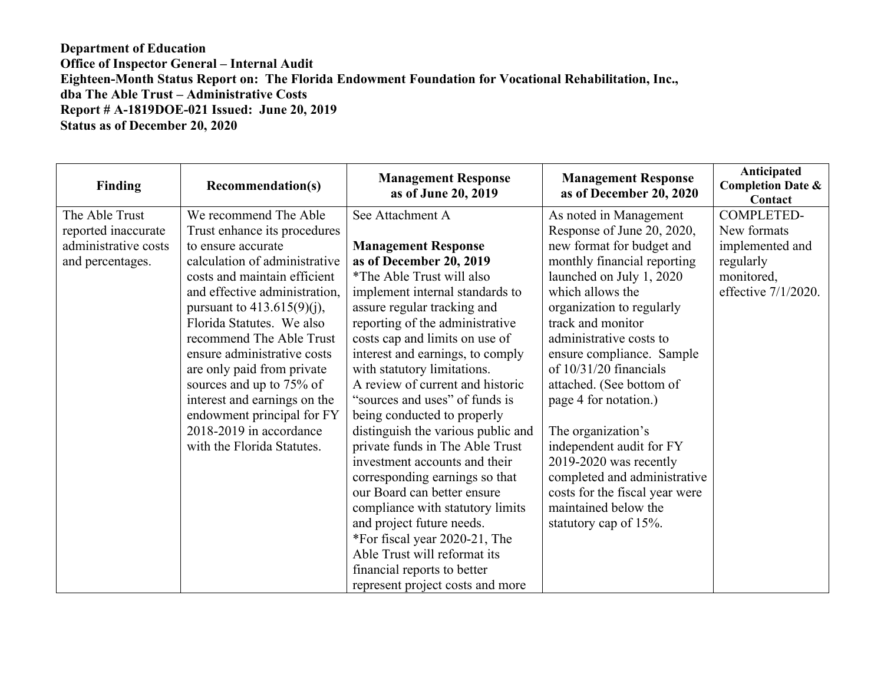## **Department of Education Office of Inspector General – Internal Audit Eighteen-Month Status Report on: The Florida Endowment Foundation for Vocational Rehabilitation, Inc., dba The Able Trust – Administrative Costs Report # A-1819DOE-021 Issued: June 20, 2019 Status as of December 20, 2020**

| Finding              | <b>Recommendation(s)</b>      | <b>Management Response</b><br>as of June 20, 2019 | <b>Management Response</b><br>as of December 20, 2020 | Anticipated<br><b>Completion Date &amp;</b><br>Contact |
|----------------------|-------------------------------|---------------------------------------------------|-------------------------------------------------------|--------------------------------------------------------|
| The Able Trust       | We recommend The Able         | See Attachment A                                  | As noted in Management                                | <b>COMPLETED-</b>                                      |
| reported inaccurate  | Trust enhance its procedures  |                                                   | Response of June 20, 2020,                            | New formats                                            |
| administrative costs | to ensure accurate            | <b>Management Response</b>                        | new format for budget and                             | implemented and                                        |
| and percentages.     | calculation of administrative | as of December 20, 2019                           | monthly financial reporting                           | regularly                                              |
|                      | costs and maintain efficient  | *The Able Trust will also                         | launched on July 1, 2020                              | monitored,                                             |
|                      | and effective administration, | implement internal standards to                   | which allows the                                      | effective 7/1/2020.                                    |
|                      | pursuant to $413.615(9)(j)$ , | assure regular tracking and                       | organization to regularly                             |                                                        |
|                      | Florida Statutes. We also     | reporting of the administrative                   | track and monitor                                     |                                                        |
|                      | recommend The Able Trust      | costs cap and limits on use of                    | administrative costs to                               |                                                        |
|                      | ensure administrative costs   | interest and earnings, to comply                  | ensure compliance. Sample                             |                                                        |
|                      | are only paid from private    | with statutory limitations.                       | of $10/31/20$ financials                              |                                                        |
|                      | sources and up to 75% of      | A review of current and historic                  | attached. (See bottom of                              |                                                        |
|                      | interest and earnings on the  | "sources and uses" of funds is                    | page 4 for notation.)                                 |                                                        |
|                      | endowment principal for FY    | being conducted to properly                       |                                                       |                                                        |
|                      | 2018-2019 in accordance       | distinguish the various public and                | The organization's                                    |                                                        |
|                      | with the Florida Statutes.    | private funds in The Able Trust                   | independent audit for FY                              |                                                        |
|                      |                               | investment accounts and their                     | $2019 - 2020$ was recently                            |                                                        |
|                      |                               | corresponding earnings so that                    | completed and administrative                          |                                                        |
|                      |                               | our Board can better ensure                       | costs for the fiscal year were                        |                                                        |
|                      |                               | compliance with statutory limits                  | maintained below the                                  |                                                        |
|                      |                               | and project future needs.                         | statutory cap of 15%.                                 |                                                        |
|                      |                               | *For fiscal year 2020-21, The                     |                                                       |                                                        |
|                      |                               | Able Trust will reformat its                      |                                                       |                                                        |
|                      |                               | financial reports to better                       |                                                       |                                                        |
|                      |                               | represent project costs and more                  |                                                       |                                                        |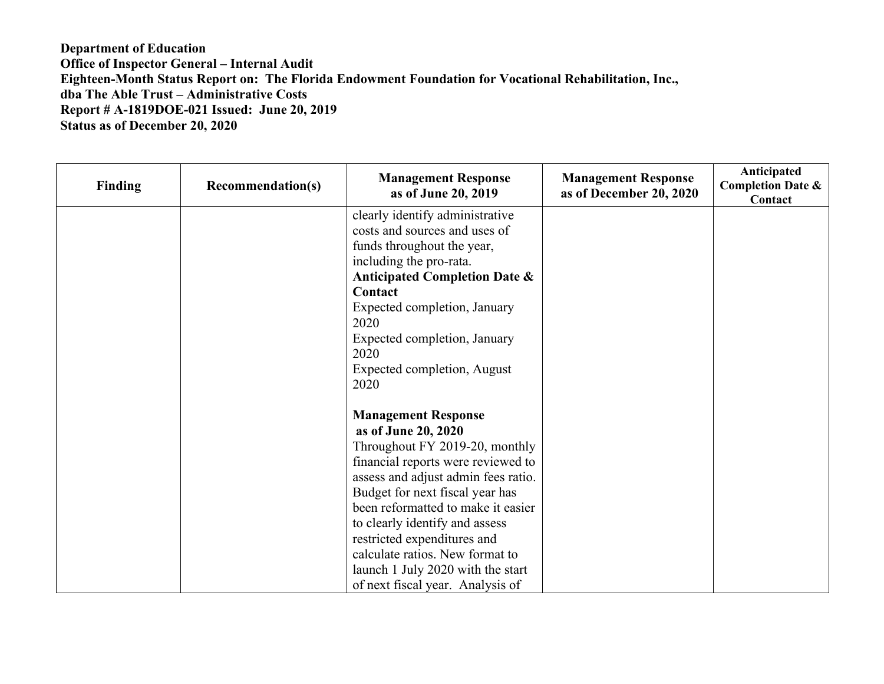## **Department of Education Office of Inspector General – Internal Audit Eighteen-Month Status Report on: The Florida Endowment Foundation for Vocational Rehabilitation, Inc., dba The Able Trust – Administrative Costs Report # A-1819DOE-021 Issued: June 20, 2019 Status as of December 20, 2020**

| <b>Finding</b> | <b>Recommendation(s)</b> | <b>Management Response</b><br>as of June 20, 2019 | <b>Management Response</b><br>as of December 20, 2020 | Anticipated<br><b>Completion Date &amp;</b><br>Contact |
|----------------|--------------------------|---------------------------------------------------|-------------------------------------------------------|--------------------------------------------------------|
|                |                          | clearly identify administrative                   |                                                       |                                                        |
|                |                          | costs and sources and uses of                     |                                                       |                                                        |
|                |                          | funds throughout the year,                        |                                                       |                                                        |
|                |                          | including the pro-rata.                           |                                                       |                                                        |
|                |                          | <b>Anticipated Completion Date &amp;</b>          |                                                       |                                                        |
|                |                          | Contact                                           |                                                       |                                                        |
|                |                          | Expected completion, January                      |                                                       |                                                        |
|                |                          | 2020                                              |                                                       |                                                        |
|                |                          | Expected completion, January                      |                                                       |                                                        |
|                |                          | 2020                                              |                                                       |                                                        |
|                |                          | <b>Expected completion, August</b>                |                                                       |                                                        |
|                |                          | 2020                                              |                                                       |                                                        |
|                |                          | <b>Management Response</b>                        |                                                       |                                                        |
|                |                          | as of June 20, 2020                               |                                                       |                                                        |
|                |                          | Throughout FY 2019-20, monthly                    |                                                       |                                                        |
|                |                          | financial reports were reviewed to                |                                                       |                                                        |
|                |                          | assess and adjust admin fees ratio.               |                                                       |                                                        |
|                |                          | Budget for next fiscal year has                   |                                                       |                                                        |
|                |                          | been reformatted to make it easier                |                                                       |                                                        |
|                |                          | to clearly identify and assess                    |                                                       |                                                        |
|                |                          | restricted expenditures and                       |                                                       |                                                        |
|                |                          | calculate ratios. New format to                   |                                                       |                                                        |
|                |                          | launch 1 July 2020 with the start                 |                                                       |                                                        |
|                |                          | of next fiscal year. Analysis of                  |                                                       |                                                        |